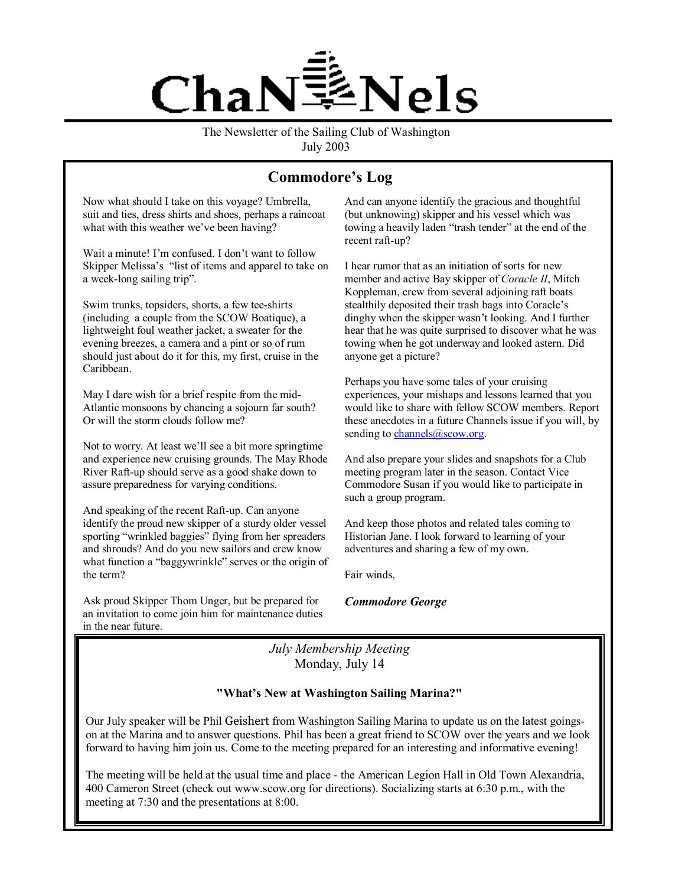

The Newsletter of the Sailing Club of Washington July 2003

# Commodore's Log

Now what should I take on this voyage? Umbrella, suit and ties, dress shirts and shoes, perhaps a raincoat what with this weather we've been having?

Wait a minute! I'm confused. I don't want to follow Skipper Melissa's "list of items and apparel to take on a week-long sailing trip".

Swim trunks, topsiders, shorts, a few tee-shirts (including a couple from the SCOW Boatique), a lightweight foul weather jacket, a sweater for the evening breezes, a camera and a pint or so of rum should just about do it for this, my first, cruise in the Caribbean.

May I dare wish for a brief respite from the mid-Atlantic monsoons by chancing a sojourn far south? Or will the storm clouds follow me?

Not to worry. At least we'll see a bit more springtime and experience new cruising grounds. The May Rhode River Raft-up should serve as a good shake down to assure preparedness for varying conditions.

And speaking of the recent Raft-up. Can anyone identify the proud new skipper of a sturdy older vessel sporting "wrinkled baggies" flying from her spreaders and shrouds? And do you new sailors and crew know what function a "baggywrinkle" serves or the origin of the term?

Ask proud Skipper Thom Unger, but be prepared for an invitation to come join him for maintenance duties in the near future.

And can anyone identify the gracious and thoughtful (but unknowing) skipper and his vessel which was towing a heavily laden "trash tender" at the end of the recent raft-up?

I hear rumor that as an initiation of sorts for new member and active Bay skipper of *Coracle II*, Mitch Koppleman, crew from several adjoining raft boats stealthily deposited their trash bags into Coracle's dinghy when the skipper wasn't looking. And I further hear that he was quite surprised to discover what he was towing when he got underway and looked astern. Did anyone get a picture?

Perhaps you have some tales of your cruising experiences, your mishaps and lessons learned that you would like to share with fellow SCOW members. Report these anecdotes in a future Channels issue if you will, by sending to channels@scow.org.

And also prepare your slides and snapshots for a Club meeting program later in the season. Contact Vice Commodore Susan if you would like to participate in such a group program.

And keep those photos and related tales coming to Historian Jane. I look forward to learning of your adventures and sharing a few of my own.

Fair winds,

*Commodore George* 

*July Membership Meeting*  Monday, July 14

#### "What's New at Washington Sailing Marina?"

Our July speaker will be Phil Geishert from Washington Sailing Marina to update us on the latest goingson at the Marina and to answer questions. Phil has been a great friend to SCOW over the years and we look forward to having him join us. Come to the meeting prepared for an interesting and informative evening!

The meeting will be held at the usual time and place - the American Legion Hall in Old Town Alexandria, 400 Cameron Street (check out www.scow.org for directions). Socializing starts at 6:30 p.m., with the meeting at 7:30 and the presentations at 8:00.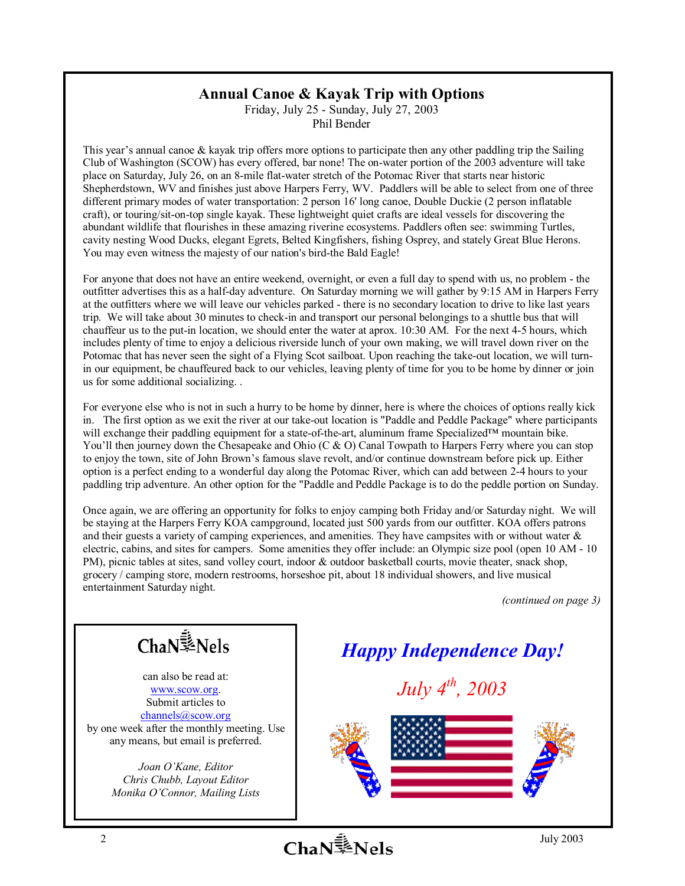## **Annual Canoe & Kayak Trip with Options**

Friday, July 25 - Sunday, July 27, 2003 Phil Bender

This year's annual canoe  $\&$  kayak trip offers more options to participate then any other paddling trip the Sailing Club of Washington (SCOW) has every offered, bar none! The on-water portion of the 2003 adventure will take place on Saturday, July 26, on an 8-mile flat-water stretch of the Potomac River that starts near historic Shepherdstown, WV and finishes just above Harpers Ferry, WV. Paddlers will be able to select from one of three different primary modes of water transportation: 2 person 16' long canoe, Double Duckie (2 person inflatable craft), or touring/sit-on-top single kayak. These lightweight quiet crafts are ideal vessels for discovering the abundant wildlife that flourishes in these amazing riverine ecosystems. Paddlers often see: swimming Turtles, cavity nesting Wood Ducks, elegant Egrets, Belted Kingfishers, fishing Osprey, and stately Great Blue Herons. You may even witness the majesty of our nation's bird-the Bald Eagle!

For anyone that does not have an entire weekend, overnight, or even a full day to spend with us, no problem - the outfitter advertises this as a half-day adventure. On Saturday morning we will gather by 9:15 AM in Harpers Ferry at the outfitters where we will leave our vehicles parked - there is no secondary location to drive to like last years trip. We will take about 30 minutes to check-in and transport our personal belongings to a shuttle bus that will chauffeur us to the put-in location, we should enter the water at aprox. 10:30 AM. For the next 4-5 hours, which includes plenty of time to enjoy a delicious riverside lunch of your own making, we will travel down river on the Potomac that has never seen the sight of a Flying Scot sailboat. Upon reaching the take-out location, we will turnin our equipment, be chauffeured back to our vehicles, leaving plenty of time for you to be home by dinner or join us for some additional socializing. .

For everyone else who is not in such a hurry to be home by dinner, here is where the choices of options really kick in. The first option as we exit the river at our take-out location is "Paddle and Peddle Package" where participants will exchange their paddling equipment for a state-of-the-art, aluminum frame Specialized<sup>TM</sup> mountain bike. You'll then journey down the Chesapeake and Ohio (C  $\&$  O) Canal Towpath to Harpers Ferry where you can stop to enjoy the town, site of John Brown's famous slave revolt, and/or continue downstream before pick up. Either option is a perfect ending to a wonderful day along the Potomac River, which can add between 2-4 hours to your paddling trip adventure. An other option for the "Paddle and Peddle Package is to do the peddle portion on Sunday.

Once again, we are offering an opportunity for folks to enjoy camping both Friday and/or Saturday night. We will be staying at the Harpers Ferry KOA campground, located just 500 yards from our outfitter. KOA offers patrons and their guests a variety of camping experiences, and amenities. They have campsites with or without water & electric, cabins, and sites for campers. Some amenities they offer include: an Olympic size pool (open 10 AM - 10 PM), picnic tables at sites, sand volley court, indoor & outdoor basketball courts, movie theater, snack shop, grocery / camping store, modern restrooms, horseshoe pit, about 18 individual showers, and live musical entertainment Saturday night.

*(continued on page 3)*



can also be read at: www.scow.org. Submit articles to channels@scow.org by one week after the monthly meeting. Use any means, but email is preferred.

> *Joan OíKane, Editor Chris Chubb, Layout Editor Monika OíConnor, Mailing Lists*

*Happy Independence Day!* 

*July 4th, 2003* 



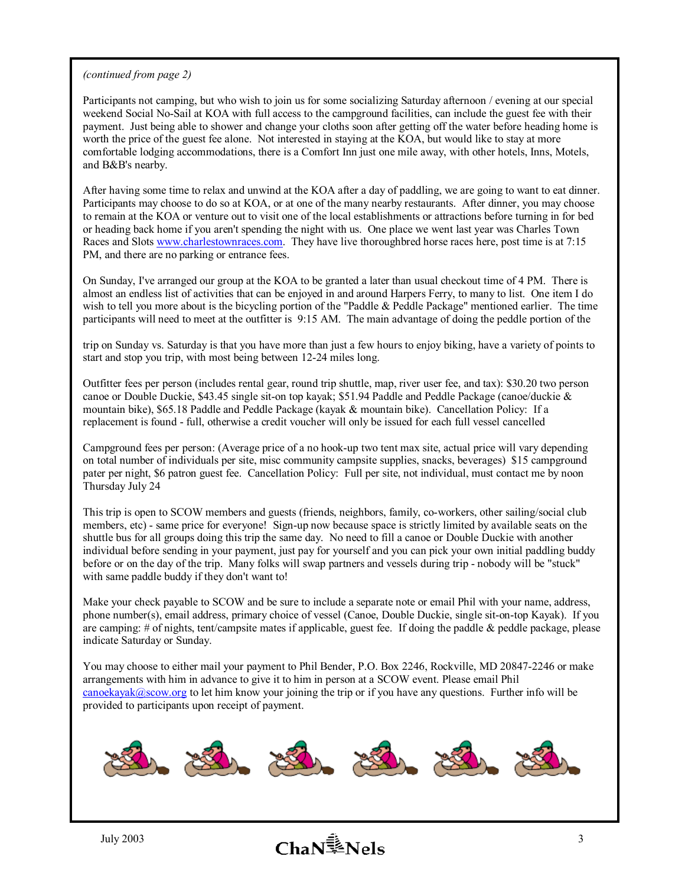#### *(continued from page 2)*

Participants not camping, but who wish to join us for some socializing Saturday afternoon / evening at our special weekend Social No-Sail at KOA with full access to the campground facilities, can include the guest fee with their payment. Just being able to shower and change your cloths soon after getting off the water before heading home is worth the price of the guest fee alone. Not interested in staying at the KOA, but would like to stay at more comfortable lodging accommodations, there is a Comfort Inn just one mile away, with other hotels, Inns, Motels, and B&B's nearby.

After having some time to relax and unwind at the KOA after a day of paddling, we are going to want to eat dinner. Participants may choose to do so at KOA, or at one of the many nearby restaurants. After dinner, you may choose to remain at the KOA or venture out to visit one of the local establishments or attractions before turning in for bed or heading back home if you aren't spending the night with us. One place we went last year was Charles Town Races and Slots www.charlestownraces.com. They have live thoroughbred horse races here, post time is at 7:15 PM, and there are no parking or entrance fees.

On Sunday, I've arranged our group at the KOA to be granted a later than usual checkout time of 4 PM. There is almost an endless list of activities that can be enjoyed in and around Harpers Ferry, to many to list. One item I do wish to tell you more about is the bicycling portion of the "Paddle & Peddle Package" mentioned earlier. The time participants will need to meet at the outfitter is 9:15 AM. The main advantage of doing the peddle portion of the

trip on Sunday vs. Saturday is that you have more than just a few hours to enjoy biking, have a variety of points to start and stop you trip, with most being between 12-24 miles long.

Outfitter fees per person (includes rental gear, round trip shuttle, map, river user fee, and tax): \$30.20 two person canoe or Double Duckie, \$43.45 single sit-on top kayak; \$51.94 Paddle and Peddle Package (canoe/duckie & mountain bike), \$65.18 Paddle and Peddle Package (kayak & mountain bike). Cancellation Policy: If a replacement is found - full, otherwise a credit voucher will only be issued for each full vessel cancelled

Campground fees per person: (Average price of a no hook-up two tent max site, actual price will vary depending on total number of individuals per site, misc community campsite supplies, snacks, beverages) \$15 campground pater per night, \$6 patron guest fee. Cancellation Policy: Full per site, not individual, must contact me by noon Thursday July 24

This trip is open to SCOW members and guests (friends, neighbors, family, co-workers, other sailing/social club members, etc) - same price for everyone! Sign-up now because space is strictly limited by available seats on the shuttle bus for all groups doing this trip the same day. No need to fill a canoe or Double Duckie with another individual before sending in your payment, just pay for yourself and you can pick your own initial paddling buddy before or on the day of the trip. Many folks will swap partners and vessels during trip - nobody will be "stuck" with same paddle buddy if they don't want to!

Make your check payable to SCOW and be sure to include a separate note or email Phil with your name, address, phone number(s), email address, primary choice of vessel (Canoe, Double Duckie, single sit-on-top Kayak). If you are camping: # of nights, tent/campsite mates if applicable, guest fee. If doing the paddle & peddle package, please indicate Saturday or Sunday.

You may choose to either mail your payment to Phil Bender, P.O. Box 2246, Rockville, MD 20847-2246 or make arrangements with him in advance to give it to him in person at a SCOW event. Please email Phil  $\frac{\text{canoekayak}(a)\text{scow.org}}{b}$  to let him know your joining the trip or if you have any questions. Further info will be provided to participants upon receipt of payment.

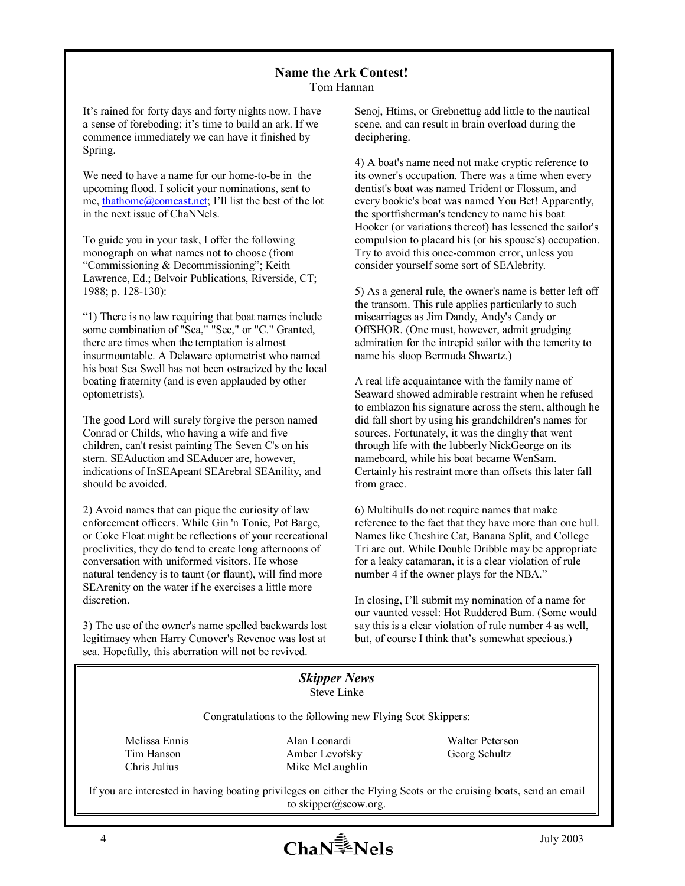## **Name the Ark Contest!**

Tom Hannan

It's rained for forty days and forty nights now. I have a sense of foreboding; it's time to build an ark. If we commence immediately we can have it finished by Spring.

We need to have a name for our home-to-be in the upcoming flood. I solicit your nominations, sent to me, thathome $@$ comcast.net; I'll list the best of the lot in the next issue of ChaNNels.

To guide you in your task, I offer the following monograph on what names not to choose (from "Commissioning & Decommissioning"; Keith Lawrence, Ed.; Belvoir Publications, Riverside, CT; 1988; p. 128-130):

ì1) There is no law requiring that boat names include some combination of "Sea," "See," or "C." Granted, there are times when the temptation is almost insurmountable. A Delaware optometrist who named his boat Sea Swell has not been ostracized by the local boating fraternity (and is even applauded by other optometrists).

The good Lord will surely forgive the person named Conrad or Childs, who having a wife and five children, can't resist painting The Seven C's on his stern. SEAduction and SEAducer are, however, indications of InSEApeant SEArebral SEAnility, and should be avoided.

 proclivities, they do tend to create long afternoons of 2) Avoid names that can pique the curiosity of law enforcement officers. While Gin 'n Tonic, Pot Barge, or Coke Float might be reflections of your recreational conversation with uniformed visitors. He whose natural tendency is to taunt (or flaunt), will find more SEArenity on the water if he exercises a little more discretion.

3) The use of the owner's name spelled backwards lost legitimacy when Harry Conover's Revenoc was lost at sea. Hopefully, this aberration will not be revived.

Senoj, Htims, or Grebnettug add little to the nautical scene, and can result in brain overload during the deciphering.

4) A boat's name need not make cryptic reference to its owner's occupation. There was a time when every dentist's boat was named Trident or Flossum, and every bookie's boat was named You Bet! Apparently, the sportfisherman's tendency to name his boat Hooker (or variations thereof) has lessened the sailor's compulsion to placard his (or his spouse's) occupation. Try to avoid this once-common error, unless you consider yourself some sort of SEAlebrity.

5) As a general rule, the owner's name is better left off the transom. This rule applies particularly to such miscarriages as Jim Dandy, Andy's Candy or OffSHOR. (One must, however, admit grudging admiration for the intrepid sailor with the temerity to name his sloop Bermuda Shwartz.)

A real life acquaintance with the family name of Seaward showed admirable restraint when he refused to emblazon his signature across the stern, although he did fall short by using his grandchildren's names for sources. Fortunately, it was the dinghy that went through life with the lubberly NickGeorge on its nameboard, while his boat became WenSam. Certainly his restraint more than offsets this later fall from grace.

6) Multihulls do not require names that make reference to the fact that they have more than one hull. Names like Cheshire Cat, Banana Split, and College Tri are out. While Double Dribble may be appropriate for a leaky catamaran, it is a clear violation of rule number 4 if the owner plays for the NBA."

In closing, I'll submit my nomination of a name for our vaunted vessel: Hot Ruddered Bum. (Some would say this is a clear violation of rule number 4 as well, but, of course I think that's somewhat specious.)

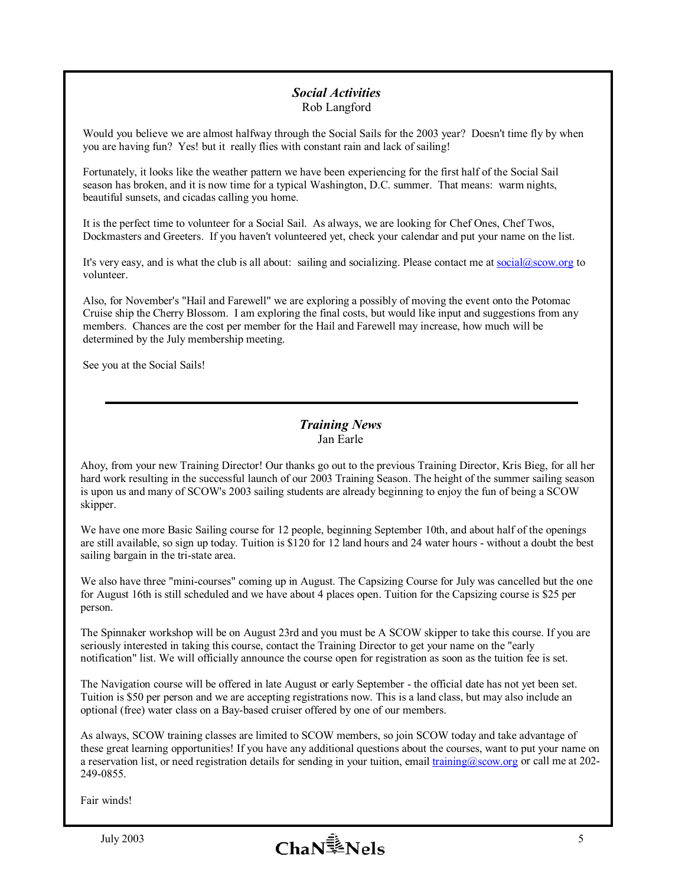#### *Social Activities*  Rob Langford

Would you believe we are almost halfway through the Social Sails for the 2003 year? Doesn't time fly by when you are having fun? Yes! but it really flies with constant rain and lack of sailing!

Fortunately, it looks like the weather pattern we have been experiencing for the first half of the Social Sail season has broken, and it is now time for a typical Washington, D.C. summer. That means: warm nights, beautiful sunsets, and cicadas calling you home.

It is the perfect time to volunteer for a Social Sail. As always, we are looking for Chef Ones, Chef Twos, Dockmasters and Greeters. If you haven't volunteered yet, check your calendar and put your name on the list.

It's very easy, and is what the club is all about: sailing and socializing. Please contact me at social@scow.org to volunteer.

Also, for November's "Hail and Farewell" we are exploring a possibly of moving the event onto the Potomac Cruise ship the Cherry Blossom. I am exploring the final costs, but would like input and suggestions from any members. Chances are the cost per member for the Hail and Farewell may increase, how much will be determined by the July membership meeting.

See you at the Social Sails!

#### *Training News*  Jan Earle

Ahoy, from your new Training Director! Our thanks go out to the previous Training Director, Kris Bieg, for all her hard work resulting in the successful launch of our 2003 Training Season. The height of the summer sailing season is upon us and many of SCOW's 2003 sailing students are already beginning to enjoy the fun of being a SCOW skipper.

We have one more Basic Sailing course for 12 people, beginning September 10th, and about half of the openings are still available, so sign up today. Tuition is \$120 for 12 land hours and 24 water hours - without a doubt the best sailing bargain in the tri-state area.

We also have three "mini-courses" coming up in August. The Capsizing Course for July was cancelled but the one for August 16th is still scheduled and we have about 4 places open. Tuition for the Capsizing course is \$25 per person.

The Spinnaker workshop will be on August 23rd and you must be A SCOW skipper to take this course. If you are seriously interested in taking this course, contact the Training Director to get your name on the "early notification" list. We will officially announce the course open for registration as soon as the tuition fee is set.

The Navigation course will be offered in late August or early September - the official date has not yet been set. Tuition is \$50 per person and we are accepting registrations now. This is a land class, but may also include an optional (free) water class on a Bay-based cruiser offered by one of our members.

As always, SCOW training classes are limited to SCOW members, so join SCOW today and take advantage of these great learning opportunities! If you have any additional questions about the courses, want to put your name on a reservation list, or need registration details for sending in your tuition, email training@scow.org or call me at 202- 249-0855.

Fair winds!

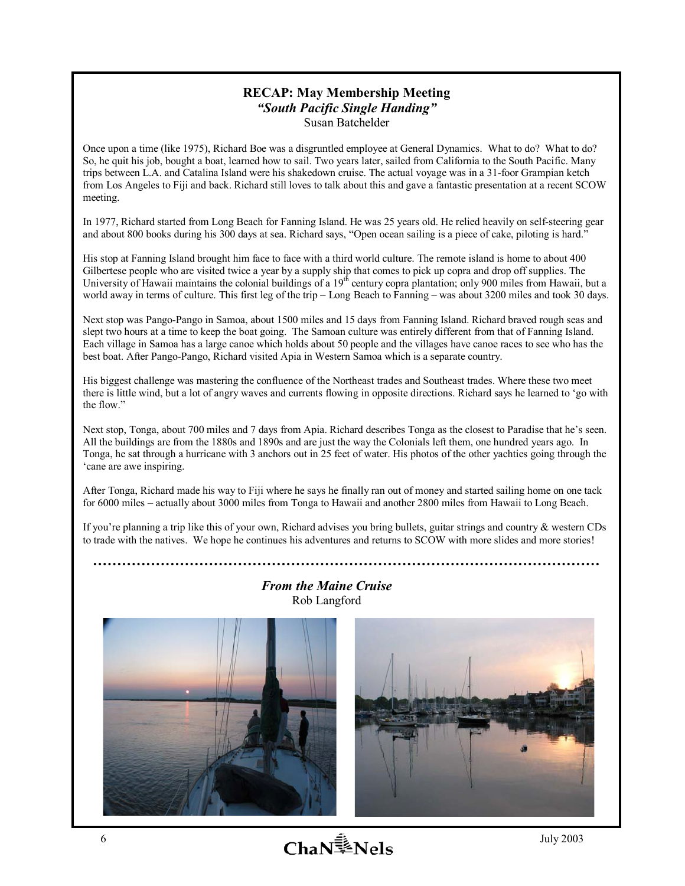#### **RECAP: May Membership Meeting**  *ìSouth Pacific Single Handingî*  Susan Batchelder

Once upon a time (like 1975), Richard Boe was a disgruntled employee at General Dynamics. What to do? What to do? So, he quit his job, bought a boat, learned how to sail. Two years later, sailed from California to the South Pacific. Many trips between L.A. and Catalina Island were his shakedown cruise. The actual voyage was in a 31-foor Grampian ketch from Los Angeles to Fiji and back. Richard still loves to talk about this and gave a fantastic presentation at a recent SCOW meeting.

In 1977, Richard started from Long Beach for Fanning Island. He was 25 years old. He relied heavily on self-steering gear and about 800 books during his 300 days at sea. Richard says, "Open ocean sailing is a piece of cake, piloting is hard.<sup>?</sup>

His stop at Fanning Island brought him face to face with a third world culture. The remote island is home to about 400 Gilbertese people who are visited twice a year by a supply ship that comes to pick up copra and drop off supplies. The University of Hawaii maintains the colonial buildings of a 19<sup>th</sup> century copra plantation; only 900 miles from Hawaii, but a world away in terms of culture. This first leg of the trip  $-$  Long Beach to Fanning  $-$  was about 3200 miles and took 30 days.

Next stop was Pango-Pango in Samoa, about 1500 miles and 15 days from Fanning Island. Richard braved rough seas and slept two hours at a time to keep the boat going. The Samoan culture was entirely different from that of Fanning Island. Each village in Samoa has a large canoe which holds about 50 people and the villages have canoe races to see who has the best boat. After Pango-Pango, Richard visited Apia in Western Samoa which is a separate country.

His biggest challenge was mastering the confluence of the Northeast trades and Southeast trades. Where these two meet there is little wind, but a lot of angry waves and currents flowing in opposite directions. Richard says he learned to ëgo with the flow."

Next stop, Tonga, about 700 miles and 7 days from Apia. Richard describes Tonga as the closest to Paradise that he's seen. All the buildings are from the 1880s and 1890s and are just the way the Colonials left them, one hundred years ago. In Tonga, he sat through a hurricane with 3 anchors out in 25 feet of water. His photos of the other yachties going through the ëcane are awe inspiring.

After Tonga, Richard made his way to Fiji where he says he finally ran out of money and started sailing home on one tack for 6000 miles – actually about 3000 miles from Tonga to Hawaii and another 2800 miles from Hawaii to Long Beach.

If you're planning a trip like this of your own, Richard advises you bring bullets, guitar strings and country  $\&$  western CDs to trade with the natives. We hope he continues his adventures and returns to SCOW with more slides and more stories!

*From the Maine Cruise* 





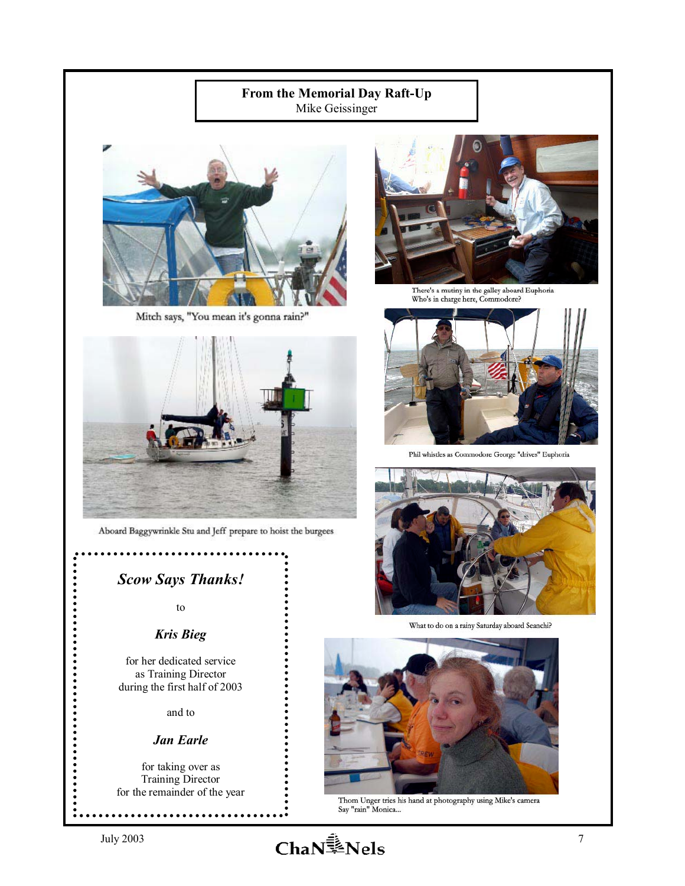### **From the Memorial Day Raft-Up**  Mike Geissinger



Mitch says, "You mean it's gonna rain?"



Aboard Baggywrinkle Stu and Jeff prepare to hoist the burgees

*Scow Says Thanks!* 

to

### *Kris Bieg*

for her dedicated service as Training Director during the first half of 2003

and to

#### *Jan Earle*

for taking over as Training Director for the remainder of the year



There's a mutiny in the galley aboard Euphoria<br>Who's in charge here, Commodore?



Phil whistles as Commodore George "drives" Euphoria



What to do on a rainy Saturday aboard Seanchi?



Thom Unger tries his hand at photography using Mike's camera Say "rain" Monica...